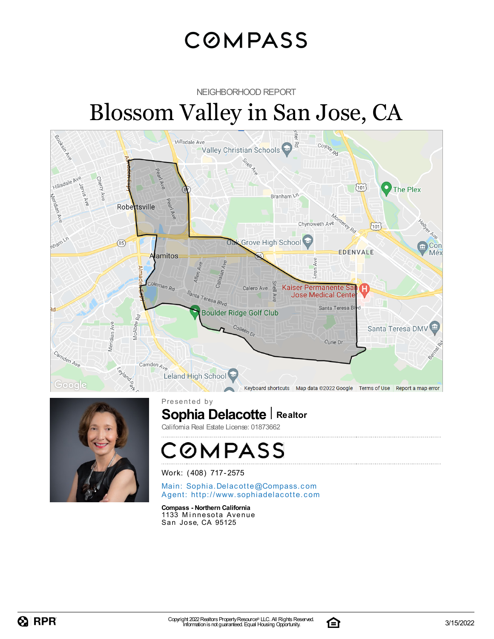# **COMPASS**

### NEIGHBORHOOD REPORT

# Blossom Valley in San Jose, CA





**Sophia Delacotte** | Realtor Presented by California Real Estate License: 01873662

# **OMPASS**

Work: (408) 717-2575

Main: Sophia.Delacotte@Compa[ss.](mailto:Sophia.Delacotte@Compass.com)com Agent: http://[www.](http://www.sophiadelacotte.com)sophiadelacotte.com

**Compass - Northern California** 1133 Minnesota Avenue San Jose, CA 95125

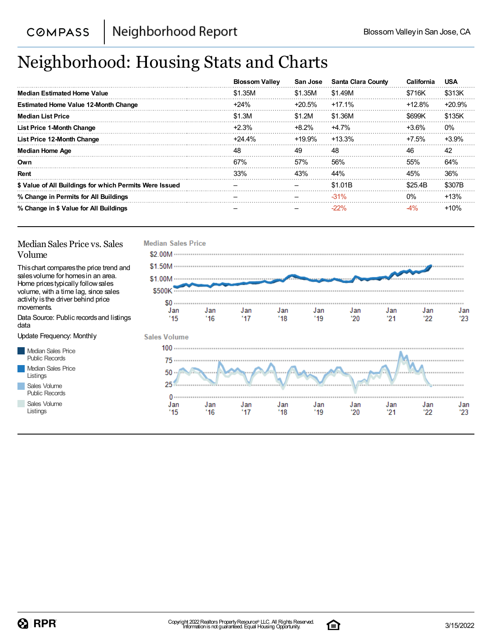#### Neighborhood Report **COMPASS**

## Neighborhood: Housing Stats and Charts

|                                                         | <b>Blossom Valley</b> | San Jose  | <b>Santa Clara County</b> | California | <b>USA</b> |
|---------------------------------------------------------|-----------------------|-----------|---------------------------|------------|------------|
| Median Estimated Home Value                             | \$1.35M               | \$1.35M   | \$1.49M                   | \$716K     | \$313K     |
| <b>Estimated Home Value 12-Month Change</b>             | $+24%$                | $+20.5\%$ | $+17.1%$                  | $+12.8\%$  | $+20.9%$   |
| <b>Median List Price</b>                                | \$1.3M                | \$1.2M    | \$1.36M                   | \$699K     | \$135K     |
| <b>List Price 1-Month Change</b>                        | $+2.3%$               | $+8.2\%$  | $+4.7%$                   | +3.6%      | 0%         |
| List Price 12-Month Change                              | $+24.4%$              | +19.9%    | $+13.3\%$                 | +7.5%      | $+3.9%$    |
| <b>Median Home Age</b>                                  | 48                    | 49        | 48                        | 46         | 42         |
| Own                                                     | 67%                   | 57%       | 56%                       | 55%        | 64%        |
| Rent                                                    | 33%                   | 43%       | 44%                       | 45%        | 36%        |
| \$ Value of All Buildings for which Permits Were Issued |                       |           | \$1.01B                   | \$25.4B    | \$307B     |
| % Change in Permits for All Buildings                   |                       |           | $-31%$                    | $0\%$      | $+13%$     |
| % Change in \$ Value for All Buildings                  |                       |           | $-22%$                    | $-4%$      | $+10%$     |



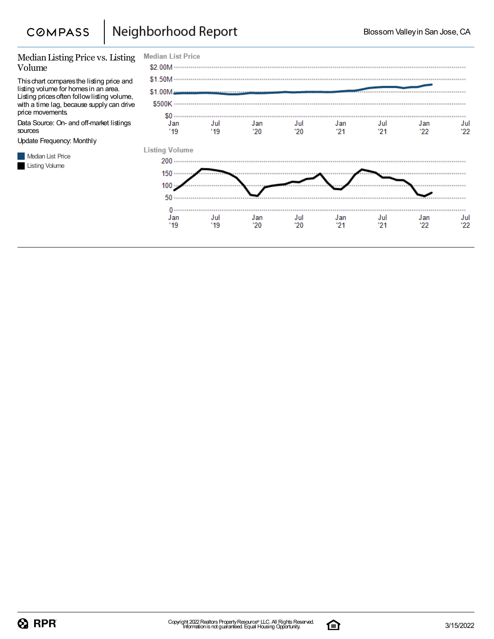#### Neighborhood Report **COMPASS**

### Median Listing Price vs. Listing Volume

Thischart comparesthe listing price and listing volume for homesin an area. Listing prices often follow listing volume, with a time lag, because supply can drive price movements.

Data Source: On- and off-market listings sources

Update Frequency: Monthly

**Median List Price** Listing Volume



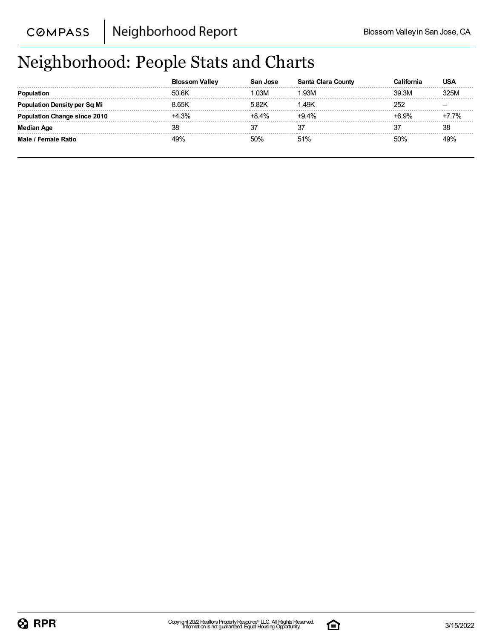## Neighborhood: People Stats and Charts

|                     | <b>Blossom Valley</b> | san Jose | Santa Clara County |          | USA |
|---------------------|-----------------------|----------|--------------------|----------|-----|
|                     | 50.6K                 | .03M     | .93M               | 39.3M    |     |
| Density per Sq Mi   | 8.65K                 | 5.82K    | 49K                | 252      |     |
| Change since 2010   | +4 3%                 | $+8.4%$  | $-9.4%$            | $-6.9\%$ | 7%  |
| Median Age          | 38                    |          |                    |          | 38  |
| Male / Female Ratio | 49%                   | 50%      | 51%                | 50%      | 10% |

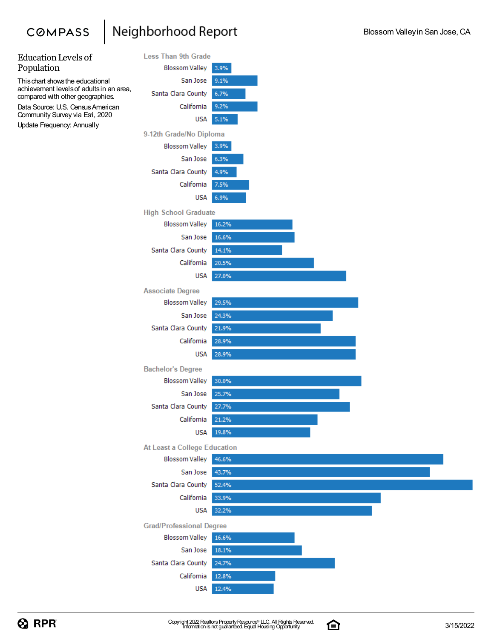#### Neighborhood Report **COMPASS**

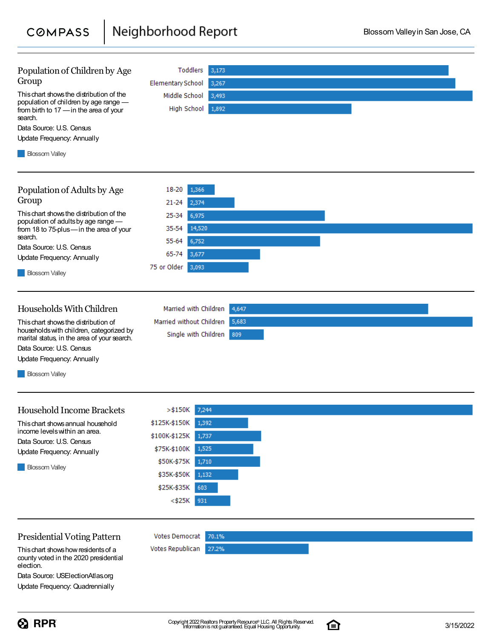| Population of Children by Age<br>Group<br>This chart shows the distribution of the<br>population of children by age range -<br>from birth to 17 - in the area of your<br>search.<br>Data Source: U.S. Census<br><b>Update Frequency: Annually</b><br><b>Blossom Valley</b> | Toddlers<br>3,173<br><b>Elementary School</b><br>3,267<br>Middle School<br>3,493<br>High School<br>1,892                                                                                |
|----------------------------------------------------------------------------------------------------------------------------------------------------------------------------------------------------------------------------------------------------------------------------|-----------------------------------------------------------------------------------------------------------------------------------------------------------------------------------------|
| Population of Adults by Age<br>Group<br>This chart shows the distribution of the<br>population of adults by age range -<br>from 18 to 75-plus-in the area of your<br>search.<br>Data Source: U.S. Census<br>Update Frequency: Annually<br><b>Blossom Valley</b>            | 18-20<br>1,366<br>$21 - 24$<br>2,374<br>6,975<br>25-34<br>14,520<br>35-54<br>55-64<br>6,752<br>65-74<br>3,677<br>75 or Older<br>3,093                                                   |
| Households With Children<br>This chart shows the distribution of<br>households with children, categorized by<br>marital status, in the area of your search.<br>Data Source: U.S. Census<br><b>Update Frequency: Annually</b><br><b>Blossom Valley</b>                      | Married with Children<br>4,647<br>Married without Children<br>5,683<br>Single with Children<br>809                                                                                      |
| <b>Household Income Brackets</b><br>This chart shows annual household<br>income levels within an area.<br>Data Source: U.S. Census<br>Update Frequency: Annually<br><b>Blossom Valley</b>                                                                                  | $>$ \$150K<br>7,244<br>\$125K-\$150K<br>1,392<br>\$100K-\$125K<br>1,737<br>\$75K-\$100K<br>1,525<br>\$50K-\$75K<br>1,710<br>\$35K-\$50K<br>1,132<br>\$25K-\$35K<br>603<br><\$25K<br>931 |
| <b>Presidential Voting Pattern</b><br>This chart shows how residents of a<br>county voted in the 2020 presidential<br>election.                                                                                                                                            | <b>Votes Democrat</b><br>70.1%<br>Votes Republican<br>27.2%                                                                                                                             |

Data Source: USElectionAtlas.org Update Frequency: Quadrennially

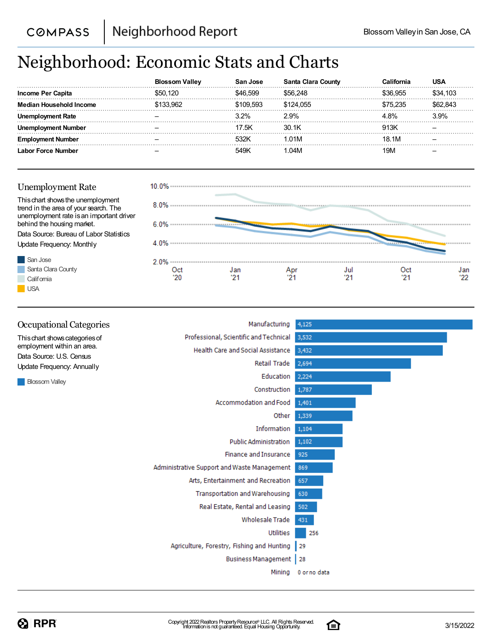# Neighborhood: Economic Stats and Charts

|                                | <b>Blossom Valley</b> | ı Jose<br>Sar | <b>Santa Clara County</b> |                 | USA  |
|--------------------------------|-----------------------|---------------|---------------------------|-----------------|------|
| Income Per Capita              | S50 120               |               | ISR 248                   | 955             |      |
| <b>Median Household Income</b> | \$133.962             | \$109.593     | \$124.055                 | \$75.235        |      |
| ment Rate                      |                       | 3.2%          | $2.9\%$                   | 4.8%            | 3.9% |
| nent Number                    |                       | 17.5K         | 30.1K                     | 913K            |      |
| nent Number                    |                       | 532K          | L01M                      | 18.1M           |      |
| Labor Force Number             |                       | 549K          | l 04M                     | 19 <sub>M</sub> |      |

### Unemployment Rate

San Jose

**California USA** 



| <b>Occupational Categories</b>                         | Manufacturing                               | 4,125        |
|--------------------------------------------------------|---------------------------------------------|--------------|
| This chart shows categories of                         | Professional, Scientific and Technical      | 3,532        |
| employment within an area.<br>Data Source: U.S. Census | <b>Health Care and Social Assistance</b>    | 3,432        |
| Update Frequency: Annually                             | Retail Trade                                | 2,694        |
|                                                        | Education                                   | 2,224        |
| <b>Blossom Valley</b>                                  | Construction                                | 1,787        |
|                                                        | Accommodation and Food                      | 1,401        |
|                                                        | Other                                       | 1,339        |
|                                                        | Information                                 | 1,104        |
|                                                        | <b>Public Administration</b>                | 1,102        |
|                                                        | <b>Finance and Insurance</b>                | 925          |
|                                                        | Administrative Support and Waste Management | 869          |
|                                                        | Arts, Entertainment and Recreation          | 657          |
|                                                        | Transportation and Warehousing              | 630          |
|                                                        | Real Estate, Rental and Leasing             | 502          |
|                                                        | <b>Wholesale Trade</b>                      | 431          |
|                                                        | <b>Utilities</b>                            | 256          |
|                                                        | Agriculture, Forestry, Fishing and Hunting  | 29           |
|                                                        | Business Management   28                    |              |
|                                                        | Mining                                      | 0 or no data |
|                                                        |                                             |              |

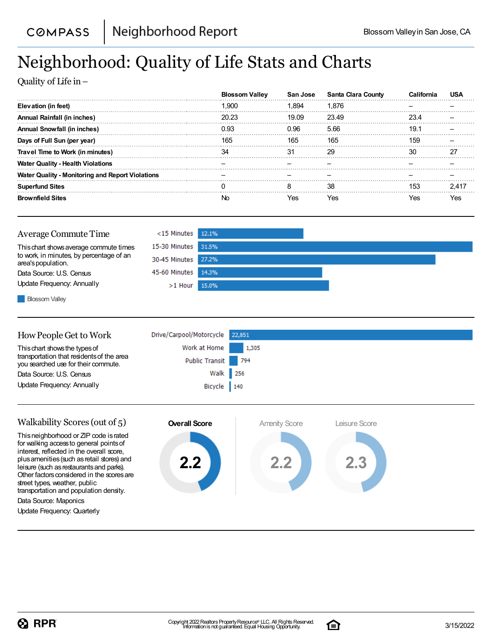# Neighborhood: Quality of Life Stats and Charts

Quality of Life in–

|                                                         | <b>Blossom Vallev</b> | San Jose | Santa Clara County |      |      |
|---------------------------------------------------------|-----------------------|----------|--------------------|------|------|
| Elevation (in feet)                                     | .900                  | .894     | 1.876              |      |      |
| <b>Annual Rainfall (in inches)</b>                      | 20.23                 | 19.09    | 23.49              | 23.4 |      |
| <b>Annual Snowfall (in inches)</b>                      | 0.93                  | 2.96     | 5.66               | 19.1 |      |
| Days of Full Sun (per year)                             | 165                   | 165      | 165                | 159  |      |
| Travel Time to Work (in minutes)                        | 34                    |          | 29                 | 30   | 27   |
| <b>Water Quality - Health Violations</b>                |                       |          |                    |      |      |
| <b>Water Quality - Monitoring and Report Violations</b> |                       |          |                    |      |      |
| <b>Superfund Sites</b>                                  |                       |          | 38                 | 153  | 2.41 |
| <b>Brownfield Sites</b>                                 |                       | 'es      | Yes                | 'es  | 7es  |



**Blossom Valley** 

| How People Get to Work                                                           | Drive/Carpool/Motorcycle 22,851 |       |
|----------------------------------------------------------------------------------|---------------------------------|-------|
| This chart shows the types of                                                    | Work at Home                    | 1,305 |
| transportation that residents of the area<br>you searched use for their commute. | Public Transit 794              |       |
| Data Source: U.S. Census                                                         | Walk 256                        |       |
| Update Frequency: Annually                                                       | Bicycle 140                     |       |
|                                                                                  |                                 |       |



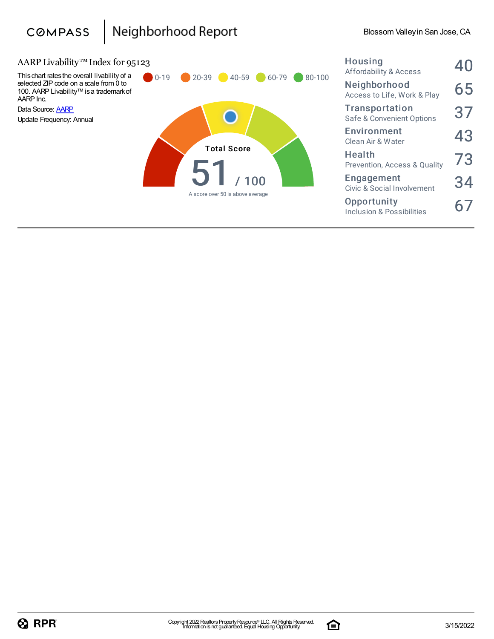

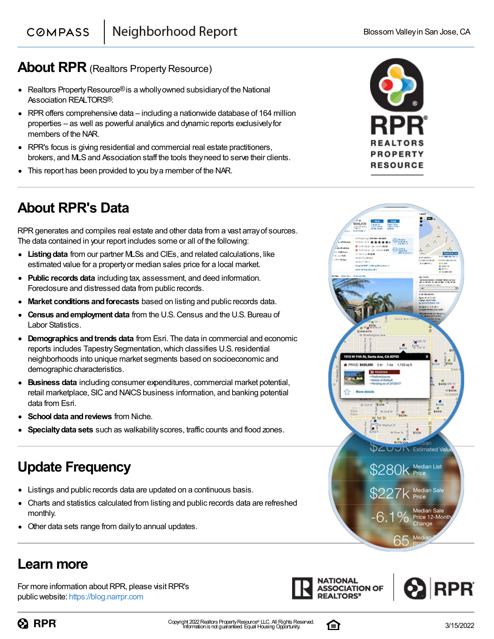### **About RPR** (Realtors Property Resource)

- Realtors Property Resource<sup>®</sup> is a wholly owned subsidiary of the National Association REALTORS®.
- RPRoffers comprehensive data including a nationwide database of 164 million properties – as well as powerful analytics and dynamic reports exclusivelyfor members of the NAR.
- RPR's focus is giving residential and commercial real estate practitioners, brokers, and MLSand Association staff the tools theyneed to serve their clients.
- This report has been provided to you bya member of the NAR.

### **About RPR's Data**

RPRgenerates and compiles real estate and other data from a vast arrayof sources. The data contained in your report includes some or all of the following:

- Listing data from our partner MLSs and CIEs, and related calculations, like estimated value for a propertyor median sales price for a local market.
- **Public records data** including tax, assessment, and deed information. Foreclosure and distressed data from public records.
- **Market conditions and forecasts** based on listing and public records data.  $\bullet$
- **Census andemployment data** from the U.S.Census and the U.S. Bureau of Labor Statistics.
- **Demographics and trends data** from Esri. The data in commercial and economic reports includes Tapestry Segmentation, which classifies U.S. residential neighborhoods into unique market segments based on socioeconomic and demographic characteristics.
- **Business data** including consumer expenditures, commercial market potential, retail marketplace, SIC and NAICS business information, and banking potential data from Esri.
- **School data and reviews** from Niche.
- **Specialtydata sets** such as walkabilityscores, traffic counts and flood zones.

### **Update Frequency**

- Listings and public records data are updated on a continuous basis.
- Charts and statistics calculated from listing and public records data are refreshed monthly.
- Other data sets range from dailyto annual updates.

### **Learn more**

For more information about RPR, please visit RPR's publicwebsite: https://blog.narrpr.com